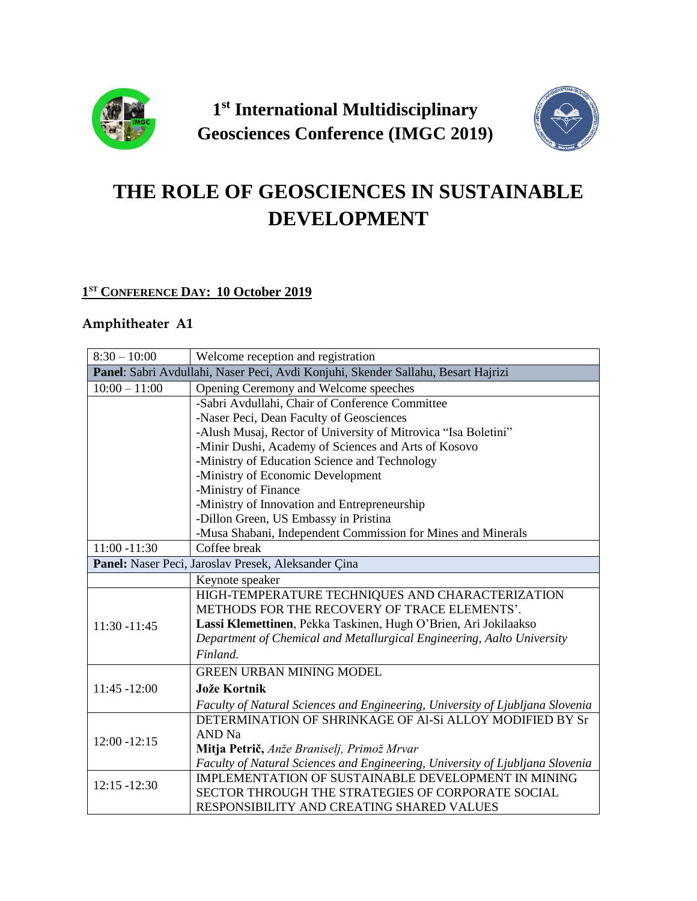

**1 st International Multidisciplinary Geosciences Conference (IMGC 2019)**



# **THE ROLE OF GEOSCIENCES IN SUSTAINABLE DEVELOPMENT**

#### **1 ST CONFERENCE DAY: 10 October 2019**

### **Amphitheater A1**

| $8:30 - 10:00$  | Welcome reception and registration                                                |
|-----------------|-----------------------------------------------------------------------------------|
|                 | Panel: Sabri Avdullahi, Naser Peci, Avdi Konjuhi, Skender Sallahu, Besart Hajrizi |
| $10:00 - 11:00$ | Opening Ceremony and Welcome speeches                                             |
|                 | -Sabri Avdullahi, Chair of Conference Committee                                   |
|                 | -Naser Peci, Dean Faculty of Geosciences                                          |
|                 | -Alush Musaj, Rector of University of Mitrovica "Isa Boletini"                    |
|                 | -Minir Dushi, Academy of Sciences and Arts of Kosovo                              |
|                 | -Ministry of Education Science and Technology                                     |
|                 | -Ministry of Economic Development                                                 |
|                 | -Ministry of Finance                                                              |
|                 | -Ministry of Innovation and Entrepreneurship                                      |
|                 | -Dillon Green, US Embassy in Pristina                                             |
|                 | -Musa Shabani, Independent Commission for Mines and Minerals                      |
| $11:00 - 11:30$ | Coffee break                                                                      |
|                 | Panel: Naser Peci, Jaroslav Presek, Aleksander Çina                               |
|                 | Keynote speaker                                                                   |
|                 | HIGH-TEMPERATURE TECHNIQUES AND CHARACTERIZATION                                  |
|                 | METHODS FOR THE RECOVERY OF TRACE ELEMENTS'.                                      |
| 11:30 -11:45    | Lassi Klemettinen, Pekka Taskinen, Hugh O'Brien, Ari Jokilaakso                   |
|                 | Department of Chemical and Metallurgical Engineering, Aalto University            |
|                 | Finland.                                                                          |
|                 | <b>GREEN URBAN MINING MODEL</b>                                                   |
| 11:45 -12:00    | <b>Jože Kortnik</b>                                                               |
|                 | Faculty of Natural Sciences and Engineering, University of Ljubljana Slovenia     |
|                 | DETERMINATION OF SHRINKAGE OF Al-Si ALLOY MODIFIED BY Sr                          |
| $12:00 - 12:15$ | AND Na                                                                            |
|                 | Mitja Petrič, Anže Braniselj, Primož Mrvar                                        |
|                 | Faculty of Natural Sciences and Engineering, University of Ljubljana Slovenia     |
| $12:15 - 12:30$ | IMPLEMENTATION OF SUSTAINABLE DEVELOPMENT IN MINING                               |
|                 | SECTOR THROUGH THE STRATEGIES OF CORPORATE SOCIAL                                 |
|                 | RESPONSIBILITY AND CREATING SHARED VALUES                                         |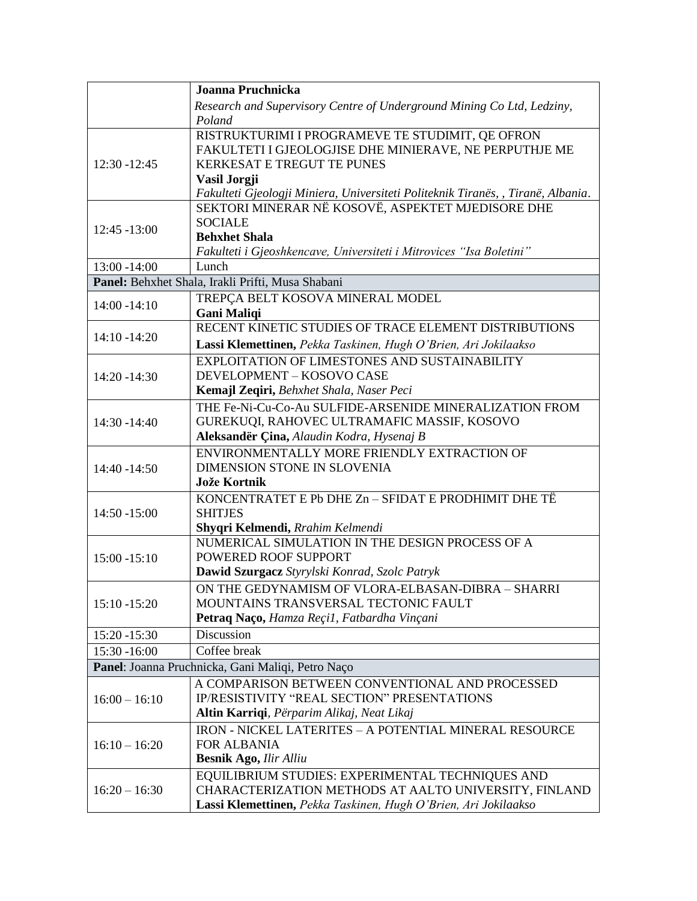| Research and Supervisory Centre of Underground Mining Co Ltd, Ledziny,<br>Poland<br>RISTRUKTURIMI I PROGRAMEVE TE STUDIMIT, QE OFRON<br>FAKULTETI I GJEOLOGJISE DHE MINIERAVE, NE PERPUTHJE ME<br>$12:30 - 12:45$<br><b>KERKESAT E TREGUT TE PUNES</b><br>Vasil Jorgji<br>Fakulteti Gjeologji Miniera, Universiteti Politeknik Tiranës, , Tiranë, Albania.<br>SEKTORI MINERAR NË KOSOVË, ASPEKTET MJEDISORE DHE<br><b>SOCIALE</b><br>$12:45 - 13:00$<br><b>Behxhet Shala</b><br>Fakulteti i Gjeoshkencave, Universiteti i Mitrovices "Isa Boletini"<br>13:00 -14:00<br>Lunch<br>Panel: Behxhet Shala, Irakli Prifti, Musa Shabani<br>TREPÇA BELT KOSOVA MINERAL MODEL<br>$14:00 - 14:10$<br><b>Gani Maliqi</b><br>RECENT KINETIC STUDIES OF TRACE ELEMENT DISTRIBUTIONS<br>$14:10 - 14:20$<br>Lassi Klemettinen, Pekka Taskinen, Hugh O'Brien, Ari Jokilaakso<br>EXPLOITATION OF LIMESTONES AND SUSTAINABILITY<br>DEVELOPMENT - KOSOVO CASE<br>$14:20 - 14:30$<br>Kemajl Zeqiri, Behxhet Shala, Naser Peci<br>THE Fe-Ni-Cu-Co-Au SULFIDE-ARSENIDE MINERALIZATION FROM<br>GUREKUQI, RAHOVEC ULTRAMAFIC MASSIF, KOSOVO<br>14:30 - 14:40<br>Aleksandër Çina, Alaudin Kodra, Hysenaj B<br>ENVIRONMENTALLY MORE FRIENDLY EXTRACTION OF<br>DIMENSION STONE IN SLOVENIA<br>14:40 -14:50<br>Jože Kortnik<br>KONCENTRATET E Pb DHE Zn - SFIDAT E PRODHIMIT DHE TË<br>14:50 -15:00<br><b>SHITJES</b><br>Shyqri Kelmendi, Rrahim Kelmendi<br>NUMERICAL SIMULATION IN THE DESIGN PROCESS OF A<br>POWERED ROOF SUPPORT<br>$15:00 - 15:10$<br>Dawid Szurgacz Styrylski Konrad, Szolc Patryk<br>ON THE GEDYNAMISM OF VLORA-ELBASAN-DIBRA - SHARRI<br>MOUNTAINS TRANSVERSAL TECTONIC FAULT<br>$15:10 - 15:20$<br>Petraq Naço, Hamza Reçil, Fatbardha Vinçani<br>Discussion<br>15:20 -15:30<br>Coffee break<br>15:30 -16:00<br>Panel: Joanna Pruchnicka, Gani Maliqi, Petro Naço<br>A COMPARISON BETWEEN CONVENTIONAL AND PROCESSED<br>IP/RESISTIVITY "REAL SECTION" PRESENTATIONS<br>$16:00 - 16:10$<br>Altin Karriqi, Përparim Alikaj, Neat Likaj<br>IRON - NICKEL LATERITES - A POTENTIAL MINERAL RESOURCE<br><b>FOR ALBANIA</b><br>$16:10 - 16:20$<br><b>Besnik Ago, Ilir Alliu</b><br>EQUILIBRIUM STUDIES: EXPERIMENTAL TECHNIQUES AND<br>CHARACTERIZATION METHODS AT AALTO UNIVERSITY, FINLAND<br>$16:20 - 16:30$ |  | Joanna Pruchnicka                                               |
|--------------------------------------------------------------------------------------------------------------------------------------------------------------------------------------------------------------------------------------------------------------------------------------------------------------------------------------------------------------------------------------------------------------------------------------------------------------------------------------------------------------------------------------------------------------------------------------------------------------------------------------------------------------------------------------------------------------------------------------------------------------------------------------------------------------------------------------------------------------------------------------------------------------------------------------------------------------------------------------------------------------------------------------------------------------------------------------------------------------------------------------------------------------------------------------------------------------------------------------------------------------------------------------------------------------------------------------------------------------------------------------------------------------------------------------------------------------------------------------------------------------------------------------------------------------------------------------------------------------------------------------------------------------------------------------------------------------------------------------------------------------------------------------------------------------------------------------------------------------------------------------------------------------------------------------------------------------------------------------------------------------------------------------------------------------------------------------------------------------------------------------------------------------------------------------------------------------------------------------------------------------------------------------------------------|--|-----------------------------------------------------------------|
|                                                                                                                                                                                                                                                                                                                                                                                                                                                                                                                                                                                                                                                                                                                                                                                                                                                                                                                                                                                                                                                                                                                                                                                                                                                                                                                                                                                                                                                                                                                                                                                                                                                                                                                                                                                                                                                                                                                                                                                                                                                                                                                                                                                                                                                                                                        |  |                                                                 |
|                                                                                                                                                                                                                                                                                                                                                                                                                                                                                                                                                                                                                                                                                                                                                                                                                                                                                                                                                                                                                                                                                                                                                                                                                                                                                                                                                                                                                                                                                                                                                                                                                                                                                                                                                                                                                                                                                                                                                                                                                                                                                                                                                                                                                                                                                                        |  |                                                                 |
|                                                                                                                                                                                                                                                                                                                                                                                                                                                                                                                                                                                                                                                                                                                                                                                                                                                                                                                                                                                                                                                                                                                                                                                                                                                                                                                                                                                                                                                                                                                                                                                                                                                                                                                                                                                                                                                                                                                                                                                                                                                                                                                                                                                                                                                                                                        |  |                                                                 |
|                                                                                                                                                                                                                                                                                                                                                                                                                                                                                                                                                                                                                                                                                                                                                                                                                                                                                                                                                                                                                                                                                                                                                                                                                                                                                                                                                                                                                                                                                                                                                                                                                                                                                                                                                                                                                                                                                                                                                                                                                                                                                                                                                                                                                                                                                                        |  |                                                                 |
|                                                                                                                                                                                                                                                                                                                                                                                                                                                                                                                                                                                                                                                                                                                                                                                                                                                                                                                                                                                                                                                                                                                                                                                                                                                                                                                                                                                                                                                                                                                                                                                                                                                                                                                                                                                                                                                                                                                                                                                                                                                                                                                                                                                                                                                                                                        |  |                                                                 |
|                                                                                                                                                                                                                                                                                                                                                                                                                                                                                                                                                                                                                                                                                                                                                                                                                                                                                                                                                                                                                                                                                                                                                                                                                                                                                                                                                                                                                                                                                                                                                                                                                                                                                                                                                                                                                                                                                                                                                                                                                                                                                                                                                                                                                                                                                                        |  |                                                                 |
|                                                                                                                                                                                                                                                                                                                                                                                                                                                                                                                                                                                                                                                                                                                                                                                                                                                                                                                                                                                                                                                                                                                                                                                                                                                                                                                                                                                                                                                                                                                                                                                                                                                                                                                                                                                                                                                                                                                                                                                                                                                                                                                                                                                                                                                                                                        |  |                                                                 |
|                                                                                                                                                                                                                                                                                                                                                                                                                                                                                                                                                                                                                                                                                                                                                                                                                                                                                                                                                                                                                                                                                                                                                                                                                                                                                                                                                                                                                                                                                                                                                                                                                                                                                                                                                                                                                                                                                                                                                                                                                                                                                                                                                                                                                                                                                                        |  |                                                                 |
|                                                                                                                                                                                                                                                                                                                                                                                                                                                                                                                                                                                                                                                                                                                                                                                                                                                                                                                                                                                                                                                                                                                                                                                                                                                                                                                                                                                                                                                                                                                                                                                                                                                                                                                                                                                                                                                                                                                                                                                                                                                                                                                                                                                                                                                                                                        |  |                                                                 |
|                                                                                                                                                                                                                                                                                                                                                                                                                                                                                                                                                                                                                                                                                                                                                                                                                                                                                                                                                                                                                                                                                                                                                                                                                                                                                                                                                                                                                                                                                                                                                                                                                                                                                                                                                                                                                                                                                                                                                                                                                                                                                                                                                                                                                                                                                                        |  |                                                                 |
|                                                                                                                                                                                                                                                                                                                                                                                                                                                                                                                                                                                                                                                                                                                                                                                                                                                                                                                                                                                                                                                                                                                                                                                                                                                                                                                                                                                                                                                                                                                                                                                                                                                                                                                                                                                                                                                                                                                                                                                                                                                                                                                                                                                                                                                                                                        |  |                                                                 |
|                                                                                                                                                                                                                                                                                                                                                                                                                                                                                                                                                                                                                                                                                                                                                                                                                                                                                                                                                                                                                                                                                                                                                                                                                                                                                                                                                                                                                                                                                                                                                                                                                                                                                                                                                                                                                                                                                                                                                                                                                                                                                                                                                                                                                                                                                                        |  |                                                                 |
|                                                                                                                                                                                                                                                                                                                                                                                                                                                                                                                                                                                                                                                                                                                                                                                                                                                                                                                                                                                                                                                                                                                                                                                                                                                                                                                                                                                                                                                                                                                                                                                                                                                                                                                                                                                                                                                                                                                                                                                                                                                                                                                                                                                                                                                                                                        |  |                                                                 |
|                                                                                                                                                                                                                                                                                                                                                                                                                                                                                                                                                                                                                                                                                                                                                                                                                                                                                                                                                                                                                                                                                                                                                                                                                                                                                                                                                                                                                                                                                                                                                                                                                                                                                                                                                                                                                                                                                                                                                                                                                                                                                                                                                                                                                                                                                                        |  |                                                                 |
|                                                                                                                                                                                                                                                                                                                                                                                                                                                                                                                                                                                                                                                                                                                                                                                                                                                                                                                                                                                                                                                                                                                                                                                                                                                                                                                                                                                                                                                                                                                                                                                                                                                                                                                                                                                                                                                                                                                                                                                                                                                                                                                                                                                                                                                                                                        |  |                                                                 |
|                                                                                                                                                                                                                                                                                                                                                                                                                                                                                                                                                                                                                                                                                                                                                                                                                                                                                                                                                                                                                                                                                                                                                                                                                                                                                                                                                                                                                                                                                                                                                                                                                                                                                                                                                                                                                                                                                                                                                                                                                                                                                                                                                                                                                                                                                                        |  |                                                                 |
|                                                                                                                                                                                                                                                                                                                                                                                                                                                                                                                                                                                                                                                                                                                                                                                                                                                                                                                                                                                                                                                                                                                                                                                                                                                                                                                                                                                                                                                                                                                                                                                                                                                                                                                                                                                                                                                                                                                                                                                                                                                                                                                                                                                                                                                                                                        |  |                                                                 |
|                                                                                                                                                                                                                                                                                                                                                                                                                                                                                                                                                                                                                                                                                                                                                                                                                                                                                                                                                                                                                                                                                                                                                                                                                                                                                                                                                                                                                                                                                                                                                                                                                                                                                                                                                                                                                                                                                                                                                                                                                                                                                                                                                                                                                                                                                                        |  |                                                                 |
|                                                                                                                                                                                                                                                                                                                                                                                                                                                                                                                                                                                                                                                                                                                                                                                                                                                                                                                                                                                                                                                                                                                                                                                                                                                                                                                                                                                                                                                                                                                                                                                                                                                                                                                                                                                                                                                                                                                                                                                                                                                                                                                                                                                                                                                                                                        |  |                                                                 |
|                                                                                                                                                                                                                                                                                                                                                                                                                                                                                                                                                                                                                                                                                                                                                                                                                                                                                                                                                                                                                                                                                                                                                                                                                                                                                                                                                                                                                                                                                                                                                                                                                                                                                                                                                                                                                                                                                                                                                                                                                                                                                                                                                                                                                                                                                                        |  |                                                                 |
|                                                                                                                                                                                                                                                                                                                                                                                                                                                                                                                                                                                                                                                                                                                                                                                                                                                                                                                                                                                                                                                                                                                                                                                                                                                                                                                                                                                                                                                                                                                                                                                                                                                                                                                                                                                                                                                                                                                                                                                                                                                                                                                                                                                                                                                                                                        |  |                                                                 |
|                                                                                                                                                                                                                                                                                                                                                                                                                                                                                                                                                                                                                                                                                                                                                                                                                                                                                                                                                                                                                                                                                                                                                                                                                                                                                                                                                                                                                                                                                                                                                                                                                                                                                                                                                                                                                                                                                                                                                                                                                                                                                                                                                                                                                                                                                                        |  |                                                                 |
|                                                                                                                                                                                                                                                                                                                                                                                                                                                                                                                                                                                                                                                                                                                                                                                                                                                                                                                                                                                                                                                                                                                                                                                                                                                                                                                                                                                                                                                                                                                                                                                                                                                                                                                                                                                                                                                                                                                                                                                                                                                                                                                                                                                                                                                                                                        |  |                                                                 |
|                                                                                                                                                                                                                                                                                                                                                                                                                                                                                                                                                                                                                                                                                                                                                                                                                                                                                                                                                                                                                                                                                                                                                                                                                                                                                                                                                                                                                                                                                                                                                                                                                                                                                                                                                                                                                                                                                                                                                                                                                                                                                                                                                                                                                                                                                                        |  |                                                                 |
|                                                                                                                                                                                                                                                                                                                                                                                                                                                                                                                                                                                                                                                                                                                                                                                                                                                                                                                                                                                                                                                                                                                                                                                                                                                                                                                                                                                                                                                                                                                                                                                                                                                                                                                                                                                                                                                                                                                                                                                                                                                                                                                                                                                                                                                                                                        |  |                                                                 |
|                                                                                                                                                                                                                                                                                                                                                                                                                                                                                                                                                                                                                                                                                                                                                                                                                                                                                                                                                                                                                                                                                                                                                                                                                                                                                                                                                                                                                                                                                                                                                                                                                                                                                                                                                                                                                                                                                                                                                                                                                                                                                                                                                                                                                                                                                                        |  |                                                                 |
|                                                                                                                                                                                                                                                                                                                                                                                                                                                                                                                                                                                                                                                                                                                                                                                                                                                                                                                                                                                                                                                                                                                                                                                                                                                                                                                                                                                                                                                                                                                                                                                                                                                                                                                                                                                                                                                                                                                                                                                                                                                                                                                                                                                                                                                                                                        |  |                                                                 |
|                                                                                                                                                                                                                                                                                                                                                                                                                                                                                                                                                                                                                                                                                                                                                                                                                                                                                                                                                                                                                                                                                                                                                                                                                                                                                                                                                                                                                                                                                                                                                                                                                                                                                                                                                                                                                                                                                                                                                                                                                                                                                                                                                                                                                                                                                                        |  |                                                                 |
|                                                                                                                                                                                                                                                                                                                                                                                                                                                                                                                                                                                                                                                                                                                                                                                                                                                                                                                                                                                                                                                                                                                                                                                                                                                                                                                                                                                                                                                                                                                                                                                                                                                                                                                                                                                                                                                                                                                                                                                                                                                                                                                                                                                                                                                                                                        |  |                                                                 |
|                                                                                                                                                                                                                                                                                                                                                                                                                                                                                                                                                                                                                                                                                                                                                                                                                                                                                                                                                                                                                                                                                                                                                                                                                                                                                                                                                                                                                                                                                                                                                                                                                                                                                                                                                                                                                                                                                                                                                                                                                                                                                                                                                                                                                                                                                                        |  |                                                                 |
|                                                                                                                                                                                                                                                                                                                                                                                                                                                                                                                                                                                                                                                                                                                                                                                                                                                                                                                                                                                                                                                                                                                                                                                                                                                                                                                                                                                                                                                                                                                                                                                                                                                                                                                                                                                                                                                                                                                                                                                                                                                                                                                                                                                                                                                                                                        |  |                                                                 |
|                                                                                                                                                                                                                                                                                                                                                                                                                                                                                                                                                                                                                                                                                                                                                                                                                                                                                                                                                                                                                                                                                                                                                                                                                                                                                                                                                                                                                                                                                                                                                                                                                                                                                                                                                                                                                                                                                                                                                                                                                                                                                                                                                                                                                                                                                                        |  |                                                                 |
|                                                                                                                                                                                                                                                                                                                                                                                                                                                                                                                                                                                                                                                                                                                                                                                                                                                                                                                                                                                                                                                                                                                                                                                                                                                                                                                                                                                                                                                                                                                                                                                                                                                                                                                                                                                                                                                                                                                                                                                                                                                                                                                                                                                                                                                                                                        |  |                                                                 |
|                                                                                                                                                                                                                                                                                                                                                                                                                                                                                                                                                                                                                                                                                                                                                                                                                                                                                                                                                                                                                                                                                                                                                                                                                                                                                                                                                                                                                                                                                                                                                                                                                                                                                                                                                                                                                                                                                                                                                                                                                                                                                                                                                                                                                                                                                                        |  |                                                                 |
|                                                                                                                                                                                                                                                                                                                                                                                                                                                                                                                                                                                                                                                                                                                                                                                                                                                                                                                                                                                                                                                                                                                                                                                                                                                                                                                                                                                                                                                                                                                                                                                                                                                                                                                                                                                                                                                                                                                                                                                                                                                                                                                                                                                                                                                                                                        |  |                                                                 |
|                                                                                                                                                                                                                                                                                                                                                                                                                                                                                                                                                                                                                                                                                                                                                                                                                                                                                                                                                                                                                                                                                                                                                                                                                                                                                                                                                                                                                                                                                                                                                                                                                                                                                                                                                                                                                                                                                                                                                                                                                                                                                                                                                                                                                                                                                                        |  |                                                                 |
|                                                                                                                                                                                                                                                                                                                                                                                                                                                                                                                                                                                                                                                                                                                                                                                                                                                                                                                                                                                                                                                                                                                                                                                                                                                                                                                                                                                                                                                                                                                                                                                                                                                                                                                                                                                                                                                                                                                                                                                                                                                                                                                                                                                                                                                                                                        |  |                                                                 |
|                                                                                                                                                                                                                                                                                                                                                                                                                                                                                                                                                                                                                                                                                                                                                                                                                                                                                                                                                                                                                                                                                                                                                                                                                                                                                                                                                                                                                                                                                                                                                                                                                                                                                                                                                                                                                                                                                                                                                                                                                                                                                                                                                                                                                                                                                                        |  |                                                                 |
|                                                                                                                                                                                                                                                                                                                                                                                                                                                                                                                                                                                                                                                                                                                                                                                                                                                                                                                                                                                                                                                                                                                                                                                                                                                                                                                                                                                                                                                                                                                                                                                                                                                                                                                                                                                                                                                                                                                                                                                                                                                                                                                                                                                                                                                                                                        |  |                                                                 |
|                                                                                                                                                                                                                                                                                                                                                                                                                                                                                                                                                                                                                                                                                                                                                                                                                                                                                                                                                                                                                                                                                                                                                                                                                                                                                                                                                                                                                                                                                                                                                                                                                                                                                                                                                                                                                                                                                                                                                                                                                                                                                                                                                                                                                                                                                                        |  |                                                                 |
|                                                                                                                                                                                                                                                                                                                                                                                                                                                                                                                                                                                                                                                                                                                                                                                                                                                                                                                                                                                                                                                                                                                                                                                                                                                                                                                                                                                                                                                                                                                                                                                                                                                                                                                                                                                                                                                                                                                                                                                                                                                                                                                                                                                                                                                                                                        |  |                                                                 |
|                                                                                                                                                                                                                                                                                                                                                                                                                                                                                                                                                                                                                                                                                                                                                                                                                                                                                                                                                                                                                                                                                                                                                                                                                                                                                                                                                                                                                                                                                                                                                                                                                                                                                                                                                                                                                                                                                                                                                                                                                                                                                                                                                                                                                                                                                                        |  |                                                                 |
|                                                                                                                                                                                                                                                                                                                                                                                                                                                                                                                                                                                                                                                                                                                                                                                                                                                                                                                                                                                                                                                                                                                                                                                                                                                                                                                                                                                                                                                                                                                                                                                                                                                                                                                                                                                                                                                                                                                                                                                                                                                                                                                                                                                                                                                                                                        |  |                                                                 |
|                                                                                                                                                                                                                                                                                                                                                                                                                                                                                                                                                                                                                                                                                                                                                                                                                                                                                                                                                                                                                                                                                                                                                                                                                                                                                                                                                                                                                                                                                                                                                                                                                                                                                                                                                                                                                                                                                                                                                                                                                                                                                                                                                                                                                                                                                                        |  |                                                                 |
|                                                                                                                                                                                                                                                                                                                                                                                                                                                                                                                                                                                                                                                                                                                                                                                                                                                                                                                                                                                                                                                                                                                                                                                                                                                                                                                                                                                                                                                                                                                                                                                                                                                                                                                                                                                                                                                                                                                                                                                                                                                                                                                                                                                                                                                                                                        |  |                                                                 |
|                                                                                                                                                                                                                                                                                                                                                                                                                                                                                                                                                                                                                                                                                                                                                                                                                                                                                                                                                                                                                                                                                                                                                                                                                                                                                                                                                                                                                                                                                                                                                                                                                                                                                                                                                                                                                                                                                                                                                                                                                                                                                                                                                                                                                                                                                                        |  | Lassi Klemettinen, Pekka Taskinen, Hugh O'Brien, Ari Jokilaakso |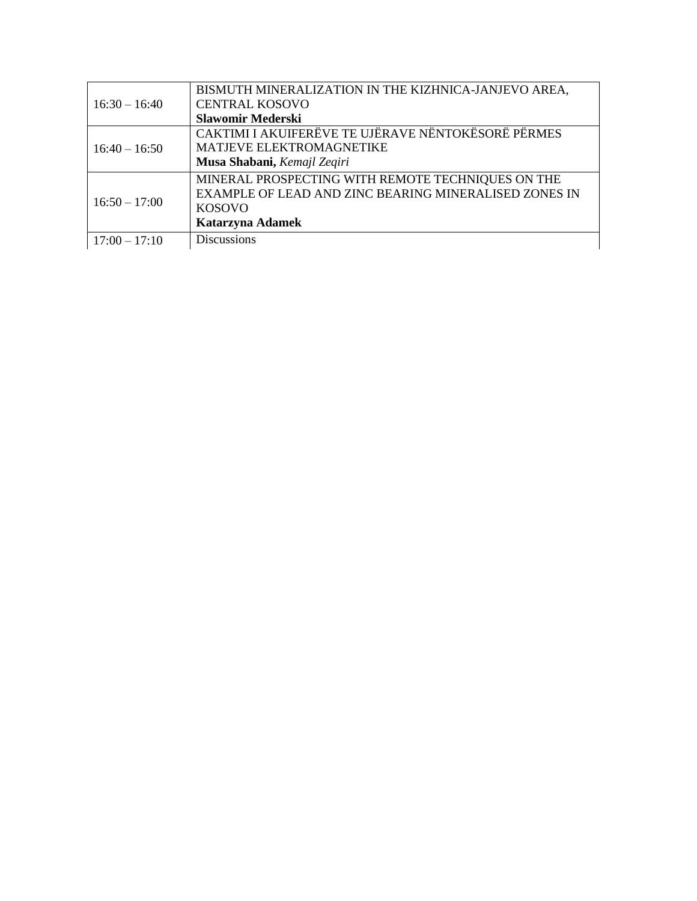|                 | BISMUTH MINERALIZATION IN THE KIZHNICA-JANJEVO AREA,  |
|-----------------|-------------------------------------------------------|
| $16:30 - 16:40$ | <b>CENTRAL KOSOVO</b>                                 |
|                 | <b>Slawomir Mederski</b>                              |
| $16:40 - 16:50$ | CAKTIMI I AKUIFERËVE TE UJËRAVE NËNTOKËSORË PËRMES    |
|                 | MATJEVE ELEKTROMAGNETIKE                              |
|                 | Musa Shabani, Kemajl Zeqiri                           |
| $16:50 - 17:00$ | MINERAL PROSPECTING WITH REMOTE TECHNIQUES ON THE     |
|                 | EXAMPLE OF LEAD AND ZINC BEARING MINERALISED ZONES IN |
|                 | <b>KOSOVO</b>                                         |
|                 | Katarzyna Adamek                                      |
| $17:00 - 17:10$ | <b>Discussions</b>                                    |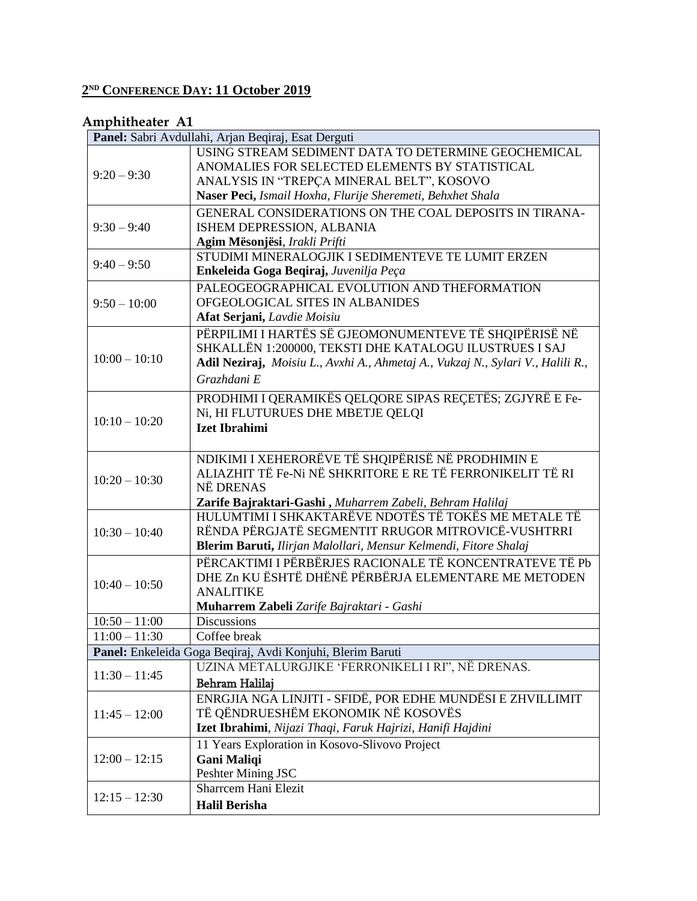#### **2 ND CONFERENCE DAY: 11 October 2019**

#### **Amphitheater A1**

|                 | Panel: Sabri Avdullahi, Arjan Beqiraj, Esat Derguti                             |
|-----------------|---------------------------------------------------------------------------------|
|                 | USING STREAM SEDIMENT DATA TO DETERMINE GEOCHEMICAL                             |
|                 | ANOMALIES FOR SELECTED ELEMENTS BY STATISTICAL                                  |
| $9:20 - 9:30$   | ANALYSIS IN "TREPÇA MINERAL BELT", KOSOVO                                       |
|                 | Naser Peci, Ismail Hoxha, Flurije Sheremeti, Behxhet Shala                      |
| $9:30 - 9:40$   | GENERAL CONSIDERATIONS ON THE COAL DEPOSITS IN TIRANA-                          |
|                 | ISHEM DEPRESSION, ALBANIA                                                       |
|                 | Agim Mësonjësi, Irakli Prifti                                                   |
| $9:40 - 9:50$   | STUDIMI MINERALOGJIK I SEDIMENTEVE TE LUMIT ERZEN                               |
|                 | Enkeleida Goga Beqiraj, Juvenilja Peça                                          |
|                 | PALEOGEOGRAPHICAL EVOLUTION AND THEFORMATION                                    |
| $9:50 - 10:00$  | OFGEOLOGICAL SITES IN ALBANIDES                                                 |
|                 | Afat Serjani, Lavdie Moisiu                                                     |
|                 | PËRPILIMI I HARTËS SË GJEOMONUMENTEVE TË SHQIPËRISË NË                          |
|                 | SHKALLËN 1:200000, TEKSTI DHE KATALOGU ILUSTRUES I SAJ                          |
| $10:00 - 10:10$ | Adil Neziraj, Moisiu L., Avxhi A., Ahmetaj A., Vukzaj N., Sylari V., Halili R., |
|                 | Grazhdani E                                                                     |
|                 | PRODHIMI I QERAMIKËS QELQORE SIPAS REÇETËS; ZGJYRË E Fe-                        |
|                 | Ni, HI FLUTURUES DHE MBETJE QELQI                                               |
| $10:10 - 10:20$ | <b>Izet Ibrahimi</b>                                                            |
|                 |                                                                                 |
|                 | NDIKIMI I XEHERORËVE TË SHQIPËRISË NË PRODHIMIN E                               |
|                 | ALIAZHIT TË Fe-Ni NË SHKRITORE E RE TË FERRONIKELIT TË RI                       |
| $10:20 - 10:30$ | NË DRENAS                                                                       |
|                 | Zarife Bajraktari-Gashi, Muharrem Zabeli, Behram Halilaj                        |
|                 | HULUMTIMI I SHKAKTARËVE NDOTËS TË TOKËS ME METALE TË                            |
| $10:30 - 10:40$ | RËNDA PËRGJATË SEGMENTIT RRUGOR MITROVICË-VUSHTRRI                              |
|                 | Blerim Baruti, Ilirjan Malollari, Mensur Kelmendi, Fitore Shalaj                |
|                 | PËRCAKTIMI I PËRBËRJES RACIONALE TË KONCENTRATEVE TË Pb                         |
| $10:40 - 10:50$ | DHE Zn KU ËSHTË DHËNË PËRBËRJA ELEMENTARE ME METODEN                            |
|                 | <b>ANALITIKE</b>                                                                |
|                 | Muharrem Zabeli Zarife Bajraktari - Gashi                                       |
| $10:50 - 11:00$ | <b>Discussions</b>                                                              |
| $11:00 - 11:30$ | Coffee break                                                                    |
|                 | Panel: Enkeleida Goga Beqiraj, Avdi Konjuhi, Blerim Baruti                      |
| $11:30 - 11:45$ | UZINA METALURGJIKE 'FERRONIKELI I RI", NË DRENAS.                               |
|                 | Behram Halilaj                                                                  |
|                 | ENRGJIA NGA LINJITI - SFIDË, POR EDHE MUNDËSI E ZHVILLIMIT                      |
| $11:45 - 12:00$ | TË QËNDRUESHËM EKONOMIK NË KOSOVËS                                              |
|                 | Izet Ibrahimi, Nijazi Thaqi, Faruk Hajrizi, Hanifi Hajdini                      |
|                 | 11 Years Exploration in Kosovo-Slivovo Project                                  |
| $12:00 - 12:15$ | <b>Gani Maliqi</b>                                                              |
|                 | Peshter Mining JSC                                                              |
| $12:15 - 12:30$ | <b>Sharrcem Hani Elezit</b>                                                     |
|                 | <b>Halil Berisha</b>                                                            |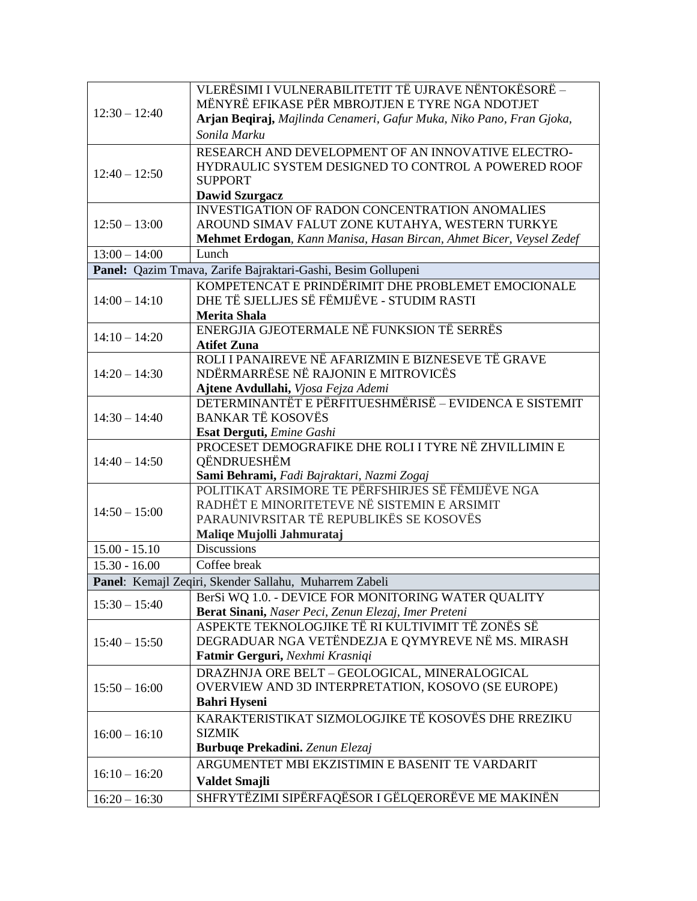|                                                              | VLERËSIMI I VULNERABILITETIT TË UJRAVE NËNTOKËSORË -                 |
|--------------------------------------------------------------|----------------------------------------------------------------------|
| $12:30 - 12:40$                                              | MËNYRË EFIKASE PËR MBROJTJEN E TYRE NGA NDOTJET                      |
|                                                              | Arjan Beqiraj, Majlinda Cenameri, Gafur Muka, Niko Pano, Fran Gjoka, |
|                                                              | Sonila Marku                                                         |
|                                                              | RESEARCH AND DEVELOPMENT OF AN INNOVATIVE ELECTRO-                   |
|                                                              | HYDRAULIC SYSTEM DESIGNED TO CONTROL A POWERED ROOF                  |
| $12:40 - 12:50$                                              | <b>SUPPORT</b>                                                       |
|                                                              | <b>Dawid Szurgacz</b>                                                |
|                                                              | <b>INVESTIGATION OF RADON CONCENTRATION ANOMALIES</b>                |
| $12:50 - 13:00$                                              | AROUND SIMAV FALUT ZONE KUTAHYA, WESTERN TURKYE                      |
|                                                              | Mehmet Erdogan, Kann Manisa, Hasan Bircan, Ahmet Bicer, Veysel Zedef |
| $13:00 - 14:00$                                              | Lunch                                                                |
| Panel: Qazim Tmava, Zarife Bajraktari-Gashi, Besim Gollupeni |                                                                      |
|                                                              | KOMPETENCAT E PRINDËRIMIT DHE PROBLEMET EMOCIONALE                   |
| $14:00 - 14:10$                                              | DHE TË SJELLJES SË FËMIJËVE - STUDIM RASTI                           |
|                                                              | <b>Merita Shala</b>                                                  |
| $14:10 - 14:20$                                              | ENERGJIA GJEOTERMALE NË FUNKSION TË SERRËS                           |
|                                                              | <b>Atifet Zuna</b>                                                   |
|                                                              | ROLI I PANAIREVE NË AFARIZMIN E BIZNESEVE TË GRAVE                   |
| $14:20 - 14:30$                                              | NDËRMARRËSE NË RAJONIN E MITROVICËS                                  |
|                                                              | Ajtene Avdullahi, Vjosa Fejza Ademi                                  |
|                                                              | DETERMINANTËT E PËRFITUESHMËRISË – EVIDENCA E SISTEMIT               |
| $14:30 - 14:40$                                              | <b>BANKAR TË KOSOVËS</b>                                             |
|                                                              | Esat Derguti, Emine Gashi                                            |
|                                                              | PROCESET DEMOGRAFIKE DHE ROLI I TYRE NË ZHVILLIMIN E                 |
| $14:40 - 14:50$                                              | QËNDRUESHËM                                                          |
|                                                              | Sami Behrami, Fadi Bajraktari, Nazmi Zogaj                           |
|                                                              | POLITIKAT ARSIMORE TE PËRFSHIRJES SË FËMIJËVE NGA                    |
| $14:50 - 15:00$                                              | RADHËT E MINORITETEVE NË SISTEMIN E ARSIMIT                          |
|                                                              | PARAUNIVRSITAR TË REPUBLIKËS SE KOSOVËS                              |
|                                                              | Maliqe Mujolli Jahmurataj                                            |
| $15.00 - 15.10$                                              | <b>Discussions</b>                                                   |
| $15.30 - 16.00$                                              | Coffee break                                                         |
|                                                              | Panel: Kemajl Zeqiri, Skender Sallahu, Muharrem Zabeli               |
| $15:30 - 15:40$                                              | BerSi WQ 1.0. - DEVICE FOR MONITORING WATER QUALITY                  |
|                                                              | Berat Sinani, Naser Peci, Zenun Elezaj, Imer Preteni                 |
|                                                              | ASPEKTE TEKNOLOGJIKE TË RI KULTIVIMIT TË ZONËS SË                    |
| $15:40 - 15:50$                                              | DEGRADUAR NGA VETËNDEZJA E QYMYREVE NË MS. MIRASH                    |
|                                                              | Fatmir Gerguri, Nexhmi Krasniqi                                      |
|                                                              | DRAZHNJA ORE BELT - GEOLOGICAL, MINERALOGICAL                        |
| $15:50 - 16:00$                                              | OVERVIEW AND 3D INTERPRETATION, KOSOVO (SE EUROPE)                   |
|                                                              | <b>Bahri Hyseni</b>                                                  |
|                                                              | KARAKTERISTIKAT SIZMOLOGJIKE TË KOSOVËS DHE RREZIKU                  |
| $16:00 - 16:10$                                              | <b>SIZMIK</b>                                                        |
|                                                              | Burbuqe Prekadini. Zenun Elezaj                                      |
|                                                              | ARGUMENTET MBI EKZISTIMIN E BASENIT TE VARDARIT                      |
| $16:10 - 16:20$                                              | Valdet Smajli                                                        |
| $16:20 - 16:30$                                              | SHFRYTËZIMI SIPËRFAQËSOR I GËLQERORËVE ME MAKINËN                    |
|                                                              |                                                                      |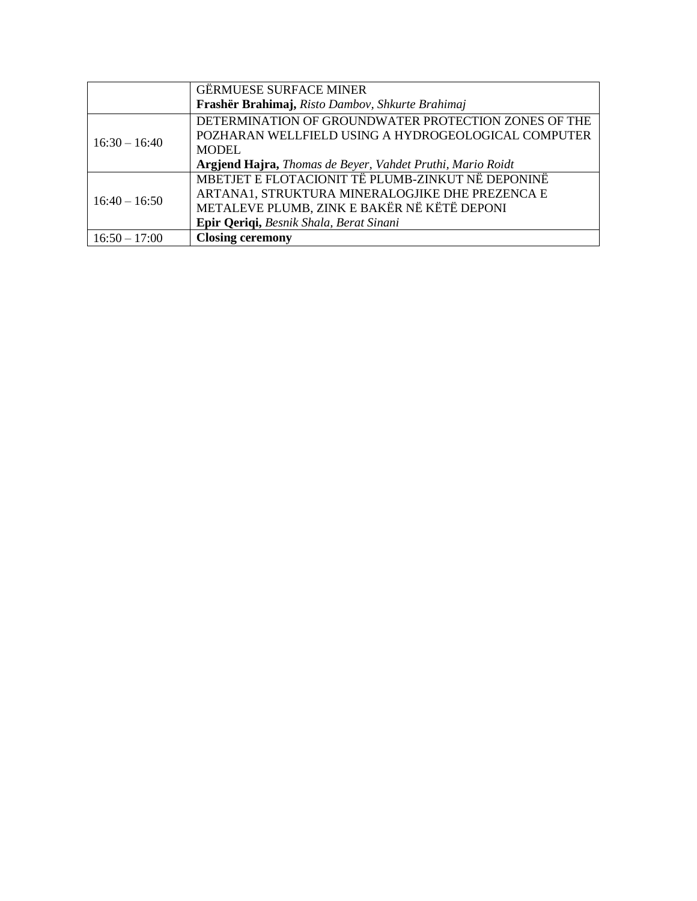|                 | <b>GËRMUESE SURFACE MINER</b>                              |
|-----------------|------------------------------------------------------------|
|                 | Frashër Brahimaj, Risto Dambov, Shkurte Brahimaj           |
| $16:30 - 16:40$ | DETERMINATION OF GROUNDWATER PROTECTION ZONES OF THE       |
|                 | POZHARAN WELLFIELD USING A HYDROGEOLOGICAL COMPUTER        |
|                 | <b>MODEL</b>                                               |
|                 | Argjend Hajra, Thomas de Beyer, Vahdet Pruthi, Mario Roidt |
| $16:40 - 16:50$ | MBETJET E FLOTACIONIT TË PLUMB-ZINKUT NË DEPONINË          |
|                 | ARTANA1, STRUKTURA MINERALOGJIKE DHE PREZENCA E            |
|                 | METALEVE PLUMB, ZINK E BAKËR NË KËTË DEPONI                |
|                 | Epir Qeriqi, Besnik Shala, Berat Sinani                    |
| $16:50 - 17:00$ | <b>Closing ceremony</b>                                    |